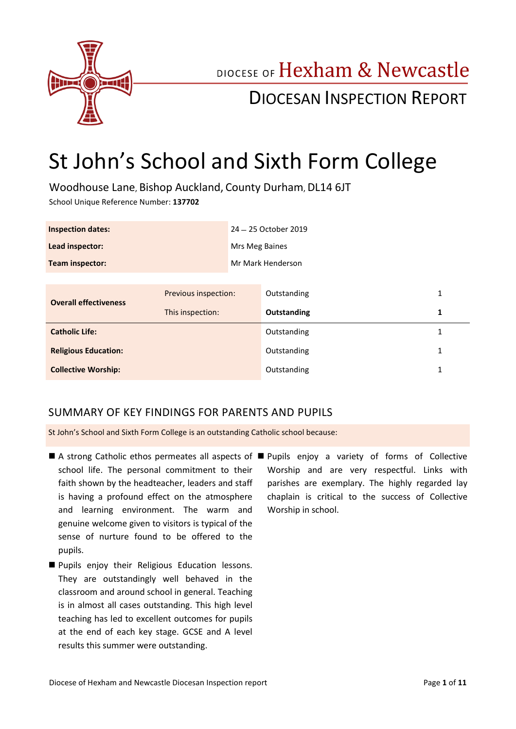

# DIOCESE OF Hexham & Newcastle

## DIOCESAN INSPECTION REPORT

## St John's School and Sixth Form College

Woodhouse Lane, Bishop Auckland, County Durham, DL14 6JT

School Unique Reference Number: **137702**

| <b>Inspection dates:</b>     |                      | 24 - 25 October 2019 |             |   |
|------------------------------|----------------------|----------------------|-------------|---|
| Lead inspector:              |                      | Mrs Meg Baines       |             |   |
| Team inspector:              |                      | Mr Mark Henderson    |             |   |
|                              |                      |                      |             |   |
| <b>Overall effectiveness</b> | Previous inspection: |                      | Outstanding | 1 |
|                              | This inspection:     |                      | Outstanding | 1 |
| <b>Catholic Life:</b>        |                      |                      | Outstanding | 1 |
| <b>Religious Education:</b>  |                      |                      | Outstanding | 1 |
| <b>Collective Worship:</b>   |                      |                      | Outstanding | 1 |

### SUMMARY OF KEY FINDINGS FOR PARENTS AND PUPILS

St John's School and Sixth Form College is an outstanding Catholic school because:

- A strong Catholic ethos permeates all aspects of Pupils enjoy a variety of forms of Collective school life. The personal commitment to their faith shown by the headteacher, leaders and staff is having a profound effect on the atmosphere and learning environment. The warm and genuine welcome given to visitors is typical of the sense of nurture found to be offered to the pupils.
- **Pupils enjoy their Religious Education lessons.** They are outstandingly well behaved in the classroom and around school in general. Teaching is in almost all cases outstanding. This high level teaching has led to excellent outcomes for pupils at the end of each key stage. GCSE and A level results this summer were outstanding.
- Worship and are very respectful. Links with parishes are exemplary. The highly regarded lay chaplain is critical to the success of Collective Worship in school.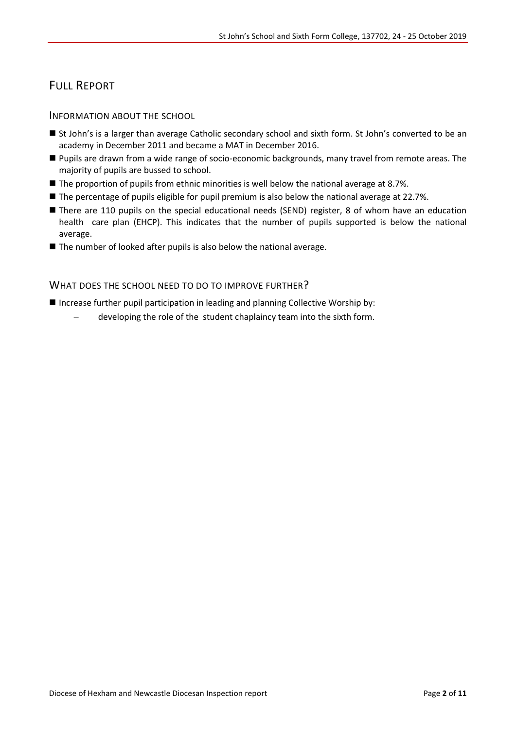## FULL REPORT

INFORMATION ABOUT THE SCHOOL

- St John's is a larger than average Catholic secondary school and sixth form. St John's converted to be an academy in December 2011 and became a MAT in December 2016.
- Pupils are drawn from a wide range of socio-economic backgrounds, many travel from remote areas. The majority of pupils are bussed to school.
- The proportion of pupils from ethnic minorities is well below the national average at 8.7%.
- **The percentage of pupils eligible for pupil premium is also below the national average at 22.7%.**
- There are 110 pupils on the special educational needs (SEND) register, 8 of whom have an education health care plan (EHCP). This indicates that the number of pupils supported is below the national average.
- The number of looked after pupils is also below the national average.

#### WHAT DOES THE SCHOOL NEED TO DO TO IMPROVE FURTHER?

Increase further pupil participation in leading and planning Collective Worship by:

developing the role of the student chaplaincy team into the sixth form.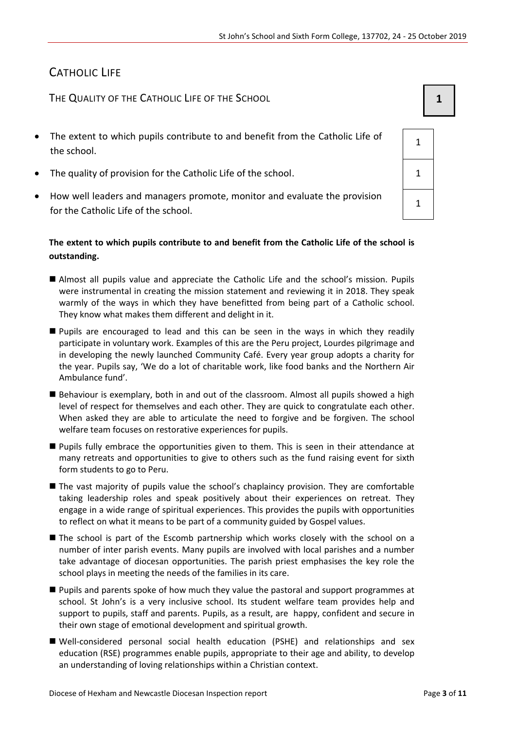## CATHOLIC LIFE

THE QUALITY OF THE CATHOLIC LIFE OF THE SCHOOL **1 1** 

- The extent to which pupils contribute to and benefit from the Catholic Life of the school.
- The quality of provision for the Catholic Life of the school. 1
- How well leaders and managers promote, monitor and evaluate the provision for the Catholic Life of the school.

#### **The extent to which pupils contribute to and benefit from the Catholic Life of the school is outstanding.**

- Almost all pupils value and appreciate the Catholic Life and the school's mission. Pupils were instrumental in creating the mission statement and reviewing it in 2018. They speak warmly of the ways in which they have benefitted from being part of a Catholic school. They know what makes them different and delight in it.
- Pupils are encouraged to lead and this can be seen in the ways in which they readily participate in voluntary work. Examples of this are the Peru project, Lourdes pilgrimage and in developing the newly launched Community Café. Every year group adopts a charity for the year. Pupils say, 'We do a lot of charitable work, like food banks and the Northern Air Ambulance fund'.
- Behaviour is exemplary, both in and out of the classroom. Almost all pupils showed a high level of respect for themselves and each other. They are quick to congratulate each other. When asked they are able to articulate the need to forgive and be forgiven. The school welfare team focuses on restorative experiences for pupils.
- Pupils fully embrace the opportunities given to them. This is seen in their attendance at many retreats and opportunities to give to others such as the fund raising event for sixth form students to go to Peru.
- The vast majority of pupils value the school's chaplaincy provision. They are comfortable taking leadership roles and speak positively about their experiences on retreat. They engage in a wide range of spiritual experiences. This provides the pupils with opportunities to reflect on what it means to be part of a community guided by Gospel values.
- The school is part of the Escomb partnership which works closely with the school on a number of inter parish events. Many pupils are involved with local parishes and a number take advantage of diocesan opportunities. The parish priest emphasises the key role the school plays in meeting the needs of the families in its care.
- **Pupils and parents spoke of how much they value the pastoral and support programmes at** school. St John's is a very inclusive school. Its student welfare team provides help and support to pupils, staff and parents. Pupils, as a result, are happy, confident and secure in their own stage of emotional development and spiritual growth.
- Well-considered personal social health education (PSHE) and relationships and sex education (RSE) programmes enable pupils, appropriate to their age and ability, to develop an understanding of loving relationships within a Christian context.

| 1 |  |
|---|--|
| 1 |  |
| 1 |  |
|   |  |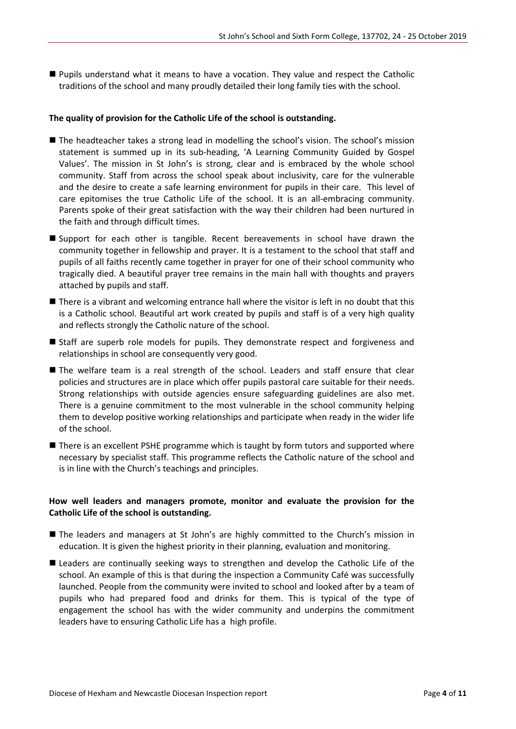Pupils understand what it means to have a vocation. They value and respect the Catholic traditions of the school and many proudly detailed their long family ties with the school.

#### **The quality of provision for the Catholic Life of the school is outstanding.**

- The headteacher takes a strong lead in modelling the school's vision. The school's mission statement is summed up in its sub-heading, 'A Learning Community Guided by Gospel Values'. The mission in St John's is strong, clear and is embraced by the whole school community. Staff from across the school speak about inclusivity, care for the vulnerable and the desire to create a safe learning environment for pupils in their care. This level of care epitomises the true Catholic Life of the school. It is an all-embracing community. Parents spoke of their great satisfaction with the way their children had been nurtured in the faith and through difficult times.
- Support for each other is tangible. Recent bereavements in school have drawn the community together in fellowship and prayer. It is a testament to the school that staff and pupils of all faiths recently came together in prayer for one of their school community who tragically died. A beautiful prayer tree remains in the main hall with thoughts and prayers attached by pupils and staff.
- **There is a vibrant and welcoming entrance hall where the visitor is left in no doubt that this** is a Catholic school. Beautiful art work created by pupils and staff is of a very high quality and reflects strongly the Catholic nature of the school.
- Staff are superb role models for pupils. They demonstrate respect and forgiveness and relationships in school are consequently very good.
- The welfare team is a real strength of the school. Leaders and staff ensure that clear policies and structures are in place which offer pupils pastoral care suitable for their needs. Strong relationships with outside agencies ensure safeguarding guidelines are also met. There is a genuine commitment to the most vulnerable in the school community helping them to develop positive working relationships and participate when ready in the wider life of the school.
- **There is an excellent PSHE programme which is taught by form tutors and supported where** necessary by specialist staff. This programme reflects the Catholic nature of the school and is in line with the Church's teachings and principles.

#### **How well leaders and managers promote, monitor and evaluate the provision for the Catholic Life of the school is outstanding.**

- The leaders and managers at St John's are highly committed to the Church's mission in education. It is given the highest priority in their planning, evaluation and monitoring.
- **E** Leaders are continually seeking ways to strengthen and develop the Catholic Life of the school. An example of this is that during the inspection a Community Café was successfully launched. People from the community were invited to school and looked after by a team of pupils who had prepared food and drinks for them. This is typical of the type of engagement the school has with the wider community and underpins the commitment leaders have to ensuring Catholic Life has a high profile.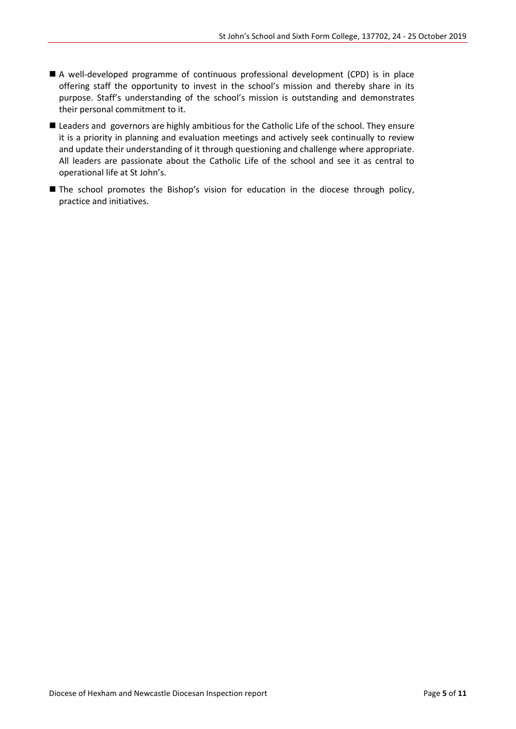- A well-developed programme of continuous professional development (CPD) is in place offering staff the opportunity to invest in the school's mission and thereby share in its purpose. Staff's understanding of the school's mission is outstanding and demonstrates their personal commitment to it.
- **E** Leaders and governors are highly ambitious for the Catholic Life of the school. They ensure it is a priority in planning and evaluation meetings and actively seek continually to review and update their understanding of it through questioning and challenge where appropriate. All leaders are passionate about the Catholic Life of the school and see it as central to operational life at St John's.
- The school promotes the Bishop's vision for education in the diocese through policy, practice and initiatives.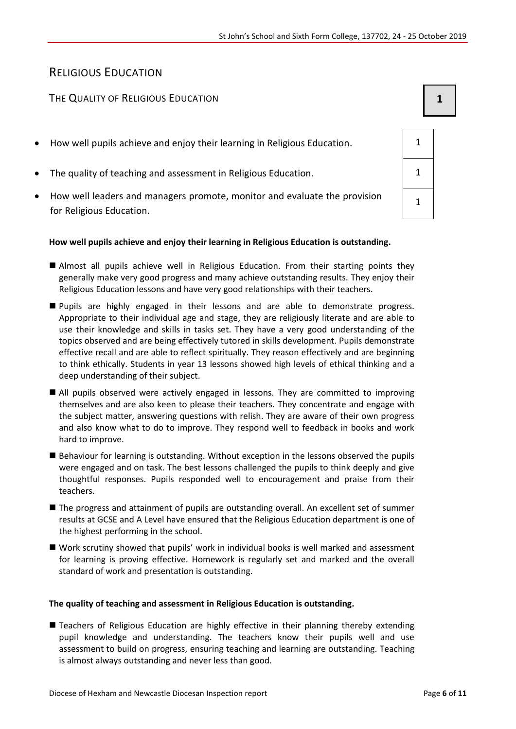## RELIGIOUS EDUCATION

### The Quality of Religious Education **1 1 1**

- How well pupils achieve and enjoy their learning in Religious Education. 1
- The quality of teaching and assessment in Religious Education. 1
- How well leaders and managers promote, monitor and evaluate the provision for Religious Education.

#### **How well pupils achieve and enjoy their learning in Religious Education is outstanding.**

- Almost all pupils achieve well in Religious Education. From their starting points they generally make very good progress and many achieve outstanding results. They enjoy their Religious Education lessons and have very good relationships with their teachers.
- **Pupils are highly engaged in their lessons and are able to demonstrate progress.** Appropriate to their individual age and stage, they are religiously literate and are able to use their knowledge and skills in tasks set. They have a very good understanding of the topics observed and are being effectively tutored in skills development. Pupils demonstrate effective recall and are able to reflect spiritually. They reason effectively and are beginning to think ethically. Students in year 13 lessons showed high levels of ethical thinking and a deep understanding of their subject.
- All pupils observed were actively engaged in lessons. They are committed to improving themselves and are also keen to please their teachers. They concentrate and engage with the subject matter, answering questions with relish. They are aware of their own progress and also know what to do to improve. They respond well to feedback in books and work hard to improve.
- Behaviour for learning is outstanding. Without exception in the lessons observed the pupils were engaged and on task. The best lessons challenged the pupils to think deeply and give thoughtful responses. Pupils responded well to encouragement and praise from their teachers.
- The progress and attainment of pupils are outstanding overall. An excellent set of summer results at GCSE and A Level have ensured that the Religious Education department is one of the highest performing in the school.
- Work scrutiny showed that pupils' work in individual books is well marked and assessment for learning is proving effective. Homework is regularly set and marked and the overall standard of work and presentation is outstanding.

#### **The quality of teaching and assessment in Religious Education is outstanding.**

**Teachers of Religious Education are highly effective in their planning thereby extending** pupil knowledge and understanding. The teachers know their pupils well and use assessment to build on progress, ensuring teaching and learning are outstanding. Teaching is almost always outstanding and never less than good.

| 1           |  |
|-------------|--|
| 1           |  |
| $\mathbf 1$ |  |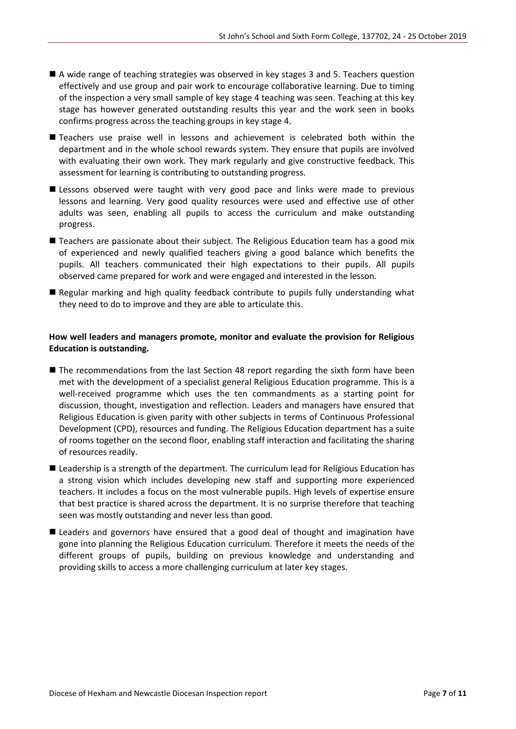- A wide range of teaching strategies was observed in key stages 3 and 5. Teachers question effectively and use group and pair work to encourage collaborative learning. Due to timing of the inspection a very small sample of key stage 4 teaching was seen. Teaching at this key stage has however generated outstanding results this year and the work seen in books confirms progress across the teaching groups in key stage 4.
- Teachers use praise well in lessons and achievement is celebrated both within the department and in the whole school rewards system. They ensure that pupils are involved with evaluating their own work. They mark regularly and give constructive feedback. This assessment for learning is contributing to outstanding progress.
- **E** Lessons observed were taught with very good pace and links were made to previous lessons and learning. Very good quality resources were used and effective use of other adults was seen, enabling all pupils to access the curriculum and make outstanding progress.
- Teachers are passionate about their subject. The Religious Education team has a good mix of experienced and newly qualified teachers giving a good balance which benefits the pupils. All teachers communicated their high expectations to their pupils. All pupils observed came prepared for work and were engaged and interested in the lesson.
- Regular marking and high quality feedback contribute to pupils fully understanding what they need to do to improve and they are able to articulate this.

#### **How well leaders and managers promote, monitor and evaluate the provision for Religious Education is outstanding.**

- The recommendations from the last Section 48 report regarding the sixth form have been met with the development of a specialist general Religious Education programme. This is a well-received programme which uses the ten commandments as a starting point for discussion, thought, investigation and reflection. Leaders and managers have ensured that Religious Education is given parity with other subjects in terms of Continuous Professional Development (CPD), resources and funding. The Religious Education department has a suite of rooms together on the second floor, enabling staff interaction and facilitating the sharing of resources readily.
- Leadership is a strength of the department. The curriculum lead for Religious Education has a strong vision which includes developing new staff and supporting more experienced teachers. It includes a focus on the most vulnerable pupils. High levels of expertise ensure that best practice is shared across the department. It is no surprise therefore that teaching seen was mostly outstanding and never less than good.
- Leaders and governors have ensured that a good deal of thought and imagination have gone into planning the Religious Education curriculum. Therefore it meets the needs of the different groups of pupils, building on previous knowledge and understanding and providing skills to access a more challenging curriculum at later key stages.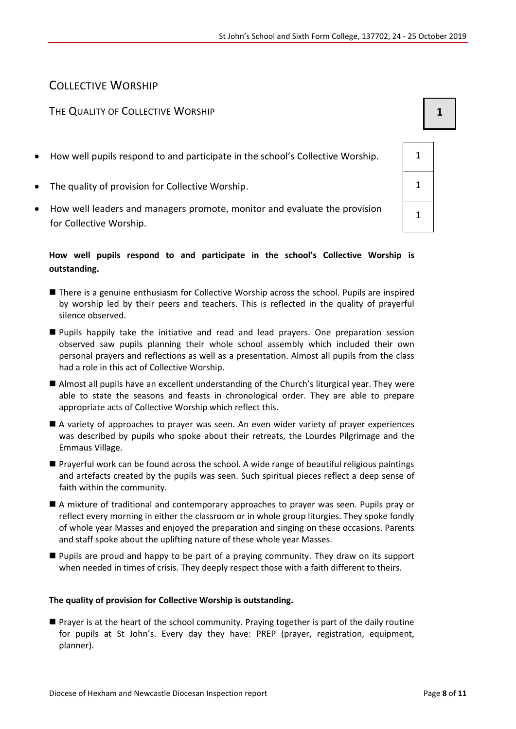## COLLECTIVE WORSHIP

#### THE QUALITY OF COLLECTIVE WORSHIP **1 1**

- How well pupils respond to and participate in the school's Collective Worship.  $\vert$  1
- The quality of provision for Collective Worship. 1
- How well leaders and managers promote, monitor and evaluate the provision for Collective Worship.

#### **How well pupils respond to and participate in the school's Collective Worship is outstanding.**

- There is a genuine enthusiasm for Collective Worship across the school. Pupils are inspired by worship led by their peers and teachers. This is reflected in the quality of prayerful silence observed.
- Pupils happily take the initiative and read and lead prayers. One preparation session observed saw pupils planning their whole school assembly which included their own personal prayers and reflections as well as a presentation. Almost all pupils from the class had a role in this act of Collective Worship.
- Almost all pupils have an excellent understanding of the Church's liturgical year. They were able to state the seasons and feasts in chronological order. They are able to prepare appropriate acts of Collective Worship which reflect this.
- A variety of approaches to prayer was seen. An even wider variety of prayer experiences was described by pupils who spoke about their retreats, the Lourdes Pilgrimage and the Emmaus Village.
- Prayerful work can be found across the school. A wide range of beautiful religious paintings and artefacts created by the pupils was seen. Such spiritual pieces reflect a deep sense of faith within the community.
- A mixture of traditional and contemporary approaches to prayer was seen. Pupils pray or reflect every morning in either the classroom or in whole group liturgies. They spoke fondly of whole year Masses and enjoyed the preparation and singing on these occasions. Parents and staff spoke about the uplifting nature of these whole year Masses.
- Pupils are proud and happy to be part of a praying community. They draw on its support when needed in times of crisis. They deeply respect those with a faith different to theirs.

#### **The quality of provision for Collective Worship is outstanding.**

 Prayer is at the heart of the school community. Praying together is part of the daily routine for pupils at St John's. Every day they have: PREP (prayer, registration, equipment, planner).

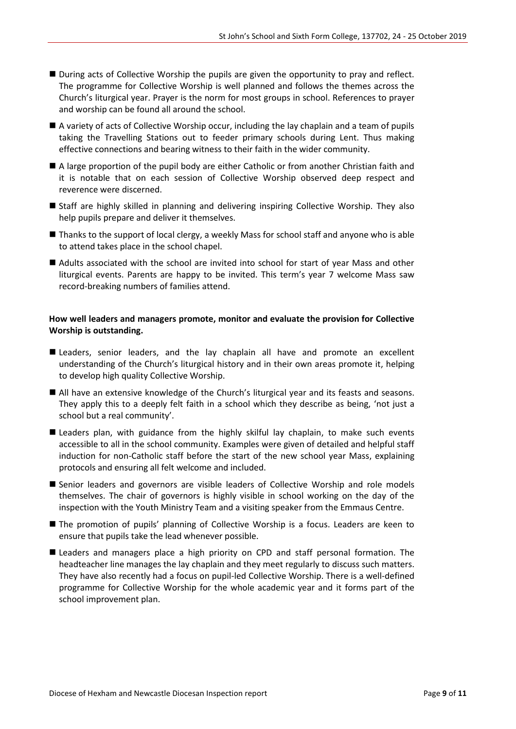- **During acts of Collective Worship the pupils are given the opportunity to pray and reflect.** The programme for Collective Worship is well planned and follows the themes across the Church's liturgical year. Prayer is the norm for most groups in school. References to prayer and worship can be found all around the school.
- A variety of acts of Collective Worship occur, including the lay chaplain and a team of pupils taking the Travelling Stations out to feeder primary schools during Lent. Thus making effective connections and bearing witness to their faith in the wider community.
- A large proportion of the pupil body are either Catholic or from another Christian faith and it is notable that on each session of Collective Worship observed deep respect and reverence were discerned.
- Staff are highly skilled in planning and delivering inspiring Collective Worship. They also help pupils prepare and deliver it themselves.
- Thanks to the support of local clergy, a weekly Mass for school staff and anyone who is able to attend takes place in the school chapel.
- Adults associated with the school are invited into school for start of year Mass and other liturgical events. Parents are happy to be invited. This term's year 7 welcome Mass saw record-breaking numbers of families attend.

#### **How well leaders and managers promote, monitor and evaluate the provision for Collective Worship is outstanding.**

- **Leaders, senior leaders, and the lay chaplain all have and promote an excellent** understanding of the Church's liturgical history and in their own areas promote it, helping to develop high quality Collective Worship.
- All have an extensive knowledge of the Church's liturgical year and its feasts and seasons. They apply this to a deeply felt faith in a school which they describe as being, 'not just a school but a real community'.
- **Leaders plan, with guidance from the highly skilful lay chaplain, to make such events** accessible to all in the school community. Examples were given of detailed and helpful staff induction for non-Catholic staff before the start of the new school year Mass, explaining protocols and ensuring all felt welcome and included.
- Senior leaders and governors are visible leaders of Collective Worship and role models themselves. The chair of governors is highly visible in school working on the day of the inspection with the Youth Ministry Team and a visiting speaker from the Emmaus Centre.
- The promotion of pupils' planning of Collective Worship is a focus. Leaders are keen to ensure that pupils take the lead whenever possible.
- Leaders and managers place a high priority on CPD and staff personal formation. The headteacher line manages the lay chaplain and they meet regularly to discuss such matters. They have also recently had a focus on pupil-led Collective Worship. There is a well-defined programme for Collective Worship for the whole academic year and it forms part of the school improvement plan.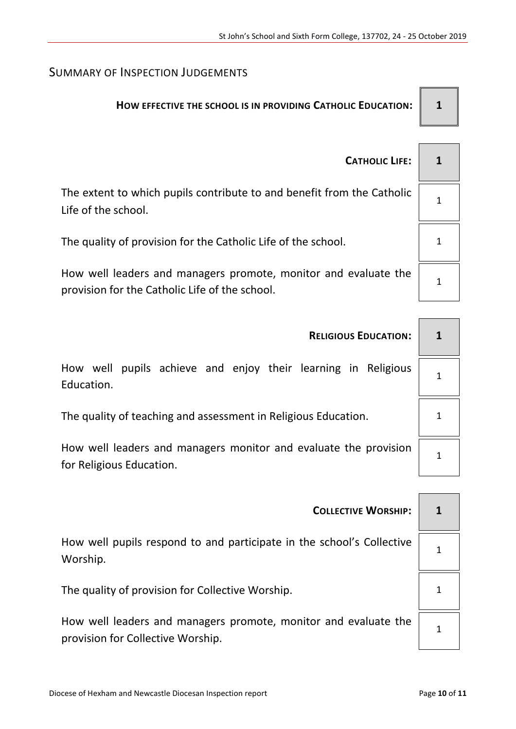## SUMMARY OF INSPECTION JUDGEMENTS

## **HOW EFFECTIVE THE SCHOOL IS IN PROVIDING CATHOLIC EDUCATION: 1**

| <b>CATHOLIC LIFE:</b>                                                                                             |  |
|-------------------------------------------------------------------------------------------------------------------|--|
| The extent to which pupils contribute to and benefit from the Catholic<br>Life of the school.                     |  |
| The quality of provision for the Catholic Life of the school.                                                     |  |
| How well leaders and managers promote, monitor and evaluate the<br>provision for the Catholic Life of the school. |  |

| <b>RELIGIOUS EDUCATION:</b>                                                                  |  |
|----------------------------------------------------------------------------------------------|--|
| How well pupils achieve and enjoy their learning in Religious<br>Education.                  |  |
| The quality of teaching and assessment in Religious Education.                               |  |
| How well leaders and managers monitor and evaluate the provision<br>for Religious Education. |  |

| <b>COLLECTIVE WORSHIP:</b>                                                                           | 1 |
|------------------------------------------------------------------------------------------------------|---|
| How well pupils respond to and participate in the school's Collective<br>Worship.                    |   |
| The quality of provision for Collective Worship.                                                     |   |
| How well leaders and managers promote, monitor and evaluate the<br>provision for Collective Worship. |   |